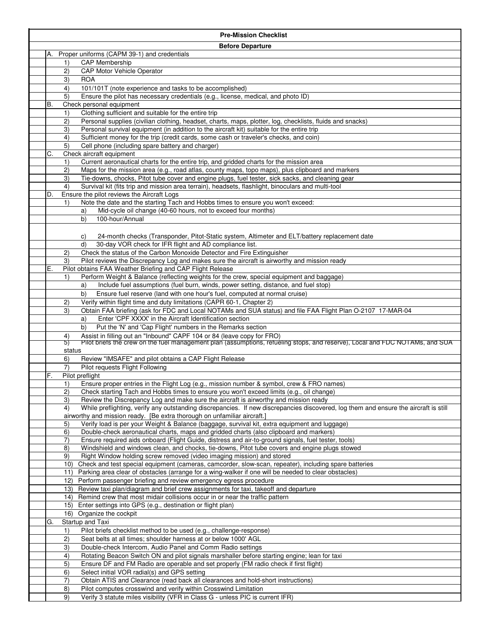|    |                    | <b>Pre-Mission Checklist</b>                                                                                                                                                                                  |
|----|--------------------|---------------------------------------------------------------------------------------------------------------------------------------------------------------------------------------------------------------|
|    |                    | <b>Before Departure</b>                                                                                                                                                                                       |
| А. |                    | Proper uniforms (CAPM 39-1) and credentials                                                                                                                                                                   |
|    | 1)                 | <b>CAP Membership</b>                                                                                                                                                                                         |
|    | 2)                 | <b>CAP Motor Vehicle Operator</b>                                                                                                                                                                             |
|    | 3)                 | <b>ROA</b>                                                                                                                                                                                                    |
|    | 4)<br>5)           | 101/101T (note experience and tasks to be accomplished)<br>Ensure the pilot has necessary credentials (e.g., license, medical, and photo ID)                                                                  |
| В. |                    | Check personal equipment                                                                                                                                                                                      |
|    | 1)                 | Clothing sufficient and suitable for the entire trip                                                                                                                                                          |
|    | 2)                 | Personal supplies (civilian clothing, headset, charts, maps, plotter, log, checklists, fluids and snacks)                                                                                                     |
|    | 3)                 | Personal survival equipment (in addition to the aircraft kit) suitable for the entire trip                                                                                                                    |
|    | 4)                 | Sufficient money for the trip (credit cards, some cash or traveler's checks, and coin)                                                                                                                        |
|    | 5)                 | Cell phone (including spare battery and charger)                                                                                                                                                              |
| С. |                    | Check aircraft equipment                                                                                                                                                                                      |
|    | 1)<br>$\mathbf{2}$ | Current aeronautical charts for the entire trip, and gridded charts for the mission area<br>Maps for the mission area (e.g., road atlas, county maps, topo maps), plus clipboard and markers                  |
|    | 3)                 | Tie-downs, chocks, Pitot tube cover and engine plugs, fuel tester, sick sacks, and cleaning gear                                                                                                              |
|    | 4)                 | Survival kit (fits trip and mission area terrain), headsets, flashlight, binoculars and multi-tool                                                                                                            |
| D. |                    | Ensure the pilot reviews the Aircraft Logs                                                                                                                                                                    |
|    | 1)                 | Note the date and the starting Tach and Hobbs times to ensure you won't exceed:                                                                                                                               |
|    |                    | Mid-cycle oil change (40-60 hours, not to exceed four months)<br>a)                                                                                                                                           |
|    |                    | b)<br>100-hour/Annual                                                                                                                                                                                         |
|    |                    | 24-month checks (Transponder, Pitot-Static system, Altimeter and ELT/battery replacement date                                                                                                                 |
|    |                    | C)<br>30-day VOR check for IFR flight and AD compliance list.<br>d)                                                                                                                                           |
|    | 2)                 | Check the status of the Carbon Monoxide Detector and Fire Extinguisher                                                                                                                                        |
|    | 3)                 | Pilot reviews the Discrepancy Log and makes sure the aircraft is airworthy and mission ready                                                                                                                  |
| Е. |                    | Pilot obtains FAA Weather Briefing and CAP Flight Release                                                                                                                                                     |
|    | 1)                 | Perform Weight & Balance (reflecting weights for the crew, special equipment and baggage)                                                                                                                     |
|    |                    | Include fuel assumptions (fuel burn, winds, power setting, distance, and fuel stop)<br>a)                                                                                                                     |
|    |                    | Ensure fuel reserve (land with one hour's fuel, computed at normal cruise)<br>b)                                                                                                                              |
|    | 2)<br>3)           | Verify within flight time and duty limitations (CAPR 60-1, Chapter 2)<br>Obtain FAA briefing (ask for FDC and Local NOTAMs and SUA status) and file FAA Flight Plan O-2107 17-MAR-04                          |
|    |                    | Enter 'CPF XXXX' in the Aircraft Identification section<br>a)                                                                                                                                                 |
|    |                    | Put the 'N' and 'Cap Flight' numbers in the Remarks section<br>b)                                                                                                                                             |
|    | 4)                 | Assist in filling out an "Inbound" CAPF 104 or 84 (leave copy for FRO)                                                                                                                                        |
|    | 5)                 | Pilot briefs the crew on the fuel management plan (assumptions, refueling stops, and reserve), Local and FDC NOTAMs, and SUA                                                                                  |
|    | status<br>6)       | Review "IMSAFE" and pilot obtains a CAP Flight Release                                                                                                                                                        |
|    | 7)                 | Pilot requests Flight Following                                                                                                                                                                               |
| F. |                    | Pilot preflight                                                                                                                                                                                               |
|    | 1)                 | Ensure proper entries in the Flight Log (e.g., mission number & symbol, crew & FRO names)                                                                                                                     |
|    | 2)                 | Check starting Tach and Hobbs times to ensure you won't exceed limits (e.g., oil change)                                                                                                                      |
|    | 3)                 | Review the Discrepancy Log and make sure the aircraft is airworthy and mission ready                                                                                                                          |
|    | 4)                 | While preflighting, verify any outstanding discrepancies. If new discrepancies discovered, log them and ensure the aircraft is still                                                                          |
|    | 5)                 | airworthy and mission ready. [Be extra thorough on unfamiliar aircraft.]<br>Verify load is per your Weight & Balance (baggage, survival kit, extra equipment and luggage)                                     |
|    | 6)                 | Double-check aeronautical charts, maps and gridded charts (also clipboard and markers)                                                                                                                        |
|    | 7)                 | Ensure required aids onboard (Flight Guide, distress and air-to-ground signals, fuel tester, tools)                                                                                                           |
|    | 8)                 | Windshield and windows clean, and chocks, tie-downs, Pitot tube covers and engine plugs stowed                                                                                                                |
|    | 9)                 | Right Window holding screw removed (video imaging mission) and stored                                                                                                                                         |
|    | 10)                | Check and test special equipment (cameras, camcorder, slow-scan, repeater), including spare batteries<br>Parking area clear of obstacles (arrange for a wing-walker if one will be needed to clear obstacles) |
|    | 11)<br>12)         | Perform passenger briefing and review emergency egress procedure                                                                                                                                              |
|    | 13)                | Review taxi plan/diagram and brief crew assignments for taxi, takeoff and departure                                                                                                                           |
|    |                    | 14) Remind crew that most midair collisions occur in or near the traffic pattern                                                                                                                              |
|    | 15)                | Enter settings into GPS (e.g., destination or flight plan)                                                                                                                                                    |
|    | 16)                | Organize the cockpit                                                                                                                                                                                          |
| G. |                    | Startup and Taxi                                                                                                                                                                                              |
|    | 1)                 | Pilot briefs checklist method to be used (e.g., challenge-response)<br>Seat belts at all times; shoulder harness at or below 1000' AGL                                                                        |
|    | 2)<br>3)           | Double-check Intercom, Audio Panel and Comm Radio settings                                                                                                                                                    |
|    | 4)                 | Rotating Beacon Switch ON and pilot signals marshaller before starting engine; lean for taxi                                                                                                                  |
|    | 5)                 | Ensure DF and FM Radio are operable and set properly (FM radio check if first flight)                                                                                                                         |
|    | 6)                 | Select initial VOR radial(s) and GPS setting                                                                                                                                                                  |
|    | 7)                 | Obtain ATIS and Clearance (read back all clearances and hold-short instructions)                                                                                                                              |
|    | 8)                 | Pilot computes crosswind and verify within Crosswind Limitation                                                                                                                                               |
|    | 9)                 | Verify 3 statute miles visibility (VFR in Class G - unless PIC is current IFR)                                                                                                                                |